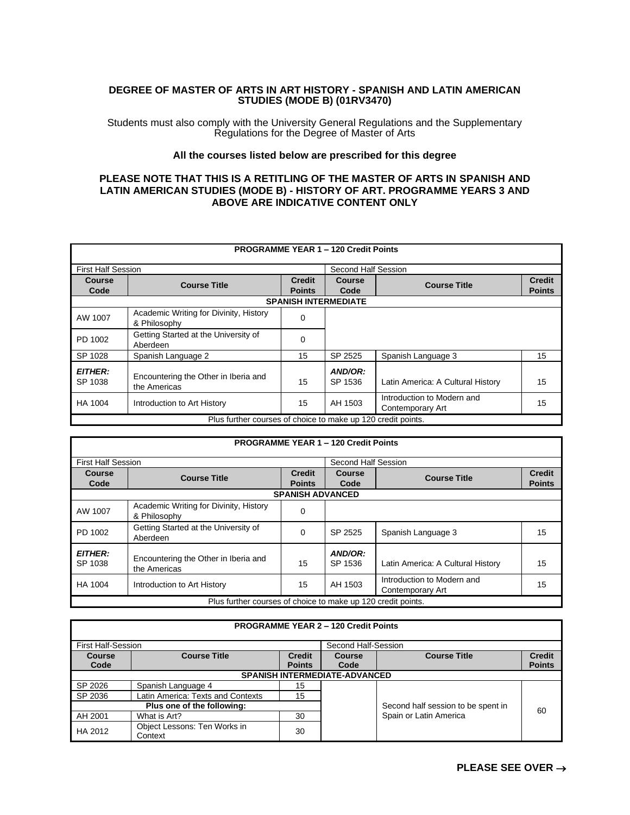## **DEGREE OF MASTER OF ARTS IN ART HISTORY - SPANISH AND LATIN AMERICAN STUDIES (MODE B) (01RV3470)**

Students must also comply with the University General Regulations and the Supplementary Regulations for the Degree of Master of Arts

## **All the courses listed below are prescribed for this degree**

## **PLEASE NOTE THAT THIS IS A RETITLING OF THE MASTER OF ARTS IN SPANISH AND LATIN AMERICAN STUDIES (MODE B) - HISTORY OF ART. PROGRAMME YEARS 3 AND ABOVE ARE INDICATIVE CONTENT ONLY**

| <b>PROGRAMME YEAR 1 - 120 Credit Points</b>                  |                                                        |               |         |                                   |               |  |
|--------------------------------------------------------------|--------------------------------------------------------|---------------|---------|-----------------------------------|---------------|--|
| Second Half Session                                          |                                                        |               |         |                                   |               |  |
| <b>First Half Session</b>                                    |                                                        |               |         |                                   |               |  |
| Course                                                       | <b>Course Title</b>                                    | <b>Credit</b> | Course  |                                   | <b>Credit</b> |  |
| Code                                                         |                                                        | <b>Points</b> | Code    | <b>Course Title</b>               | <b>Points</b> |  |
|                                                              | <b>SPANISH INTERMEDIATE</b>                            |               |         |                                   |               |  |
| AW 1007                                                      | Academic Writing for Divinity, History<br>& Philosophy | 0             |         |                                   |               |  |
|                                                              | Getting Started at the University of                   |               |         |                                   |               |  |
| PD 1002                                                      | Aberdeen                                               | $\Omega$      |         |                                   |               |  |
|                                                              |                                                        |               |         |                                   |               |  |
| SP 1028                                                      | Spanish Language 2                                     | 15            | SP 2525 | Spanish Language 3                | 15            |  |
| <b>EITHER:</b>                                               |                                                        |               | AND/OR: |                                   |               |  |
| SP 1038                                                      | Encountering the Other in Iberia and<br>the Americas   | 15            | SP 1536 | Latin America: A Cultural History | 15            |  |
| HA 1004                                                      | Introduction to Art History                            | 15            | AH 1503 | Introduction to Modern and        | 15            |  |
|                                                              |                                                        |               |         | Contemporary Art                  |               |  |
| Plus further courses of choice to make up 120 credit points. |                                                        |               |         |                                   |               |  |

| <b>PROGRAMME YEAR 1 - 120 Credit Points</b>                  |                                                        |                                |                       |                                                |                                |  |
|--------------------------------------------------------------|--------------------------------------------------------|--------------------------------|-----------------------|------------------------------------------------|--------------------------------|--|
| <b>First Half Session</b>                                    |                                                        |                                | Second Half Session   |                                                |                                |  |
| <b>Course</b><br>Code                                        | <b>Course Title</b>                                    | <b>Credit</b><br><b>Points</b> | <b>Course</b><br>Code | <b>Course Title</b>                            | <b>Credit</b><br><b>Points</b> |  |
|                                                              | <b>SPANISH ADVANCED</b>                                |                                |                       |                                                |                                |  |
| AW 1007                                                      | Academic Writing for Divinity, History<br>& Philosophy | 0                              |                       |                                                |                                |  |
| PD 1002                                                      | Getting Started at the University of<br>Aberdeen       | $\Omega$                       | SP 2525               | Spanish Language 3                             | 15                             |  |
| <b>EITHER:</b><br>SP 1038                                    | Encountering the Other in Iberia and<br>the Americas   | 15                             | AND/OR:<br>SP 1536    | Latin America: A Cultural History              | 15                             |  |
| HA 1004                                                      | Introduction to Art History                            | 15                             | AH 1503               | Introduction to Modern and<br>Contemporary Art | 15                             |  |
| Plus further courses of choice to make up 120 credit points. |                                                        |                                |                       |                                                |                                |  |

| <b>PROGRAMME YEAR 2 - 120 Credit Points</b> |                                         |               |                     |                                    |               |
|---------------------------------------------|-----------------------------------------|---------------|---------------------|------------------------------------|---------------|
| <b>First Half-Session</b>                   |                                         |               | Second Half-Session |                                    |               |
| <b>Course</b>                               | <b>Course Title</b>                     | <b>Credit</b> | Course              | <b>Course Title</b>                | <b>Credit</b> |
| Code                                        |                                         | <b>Points</b> | Code                |                                    | <b>Points</b> |
|                                             | <b>SPANISH INTERMEDIATE-ADVANCED</b>    |               |                     |                                    |               |
| SP 2026                                     | Spanish Language 4                      | 15            |                     |                                    |               |
| SP 2036                                     | Latin America: Texts and Contexts       | 15            |                     |                                    |               |
| Plus one of the following:                  |                                         |               |                     | Second half session to be spent in | 60            |
| AH 2001                                     | What is Art?                            | 30            |                     | Spain or Latin America             |               |
| HA 2012                                     | Object Lessons: Ten Works in<br>Context | 30            |                     |                                    |               |